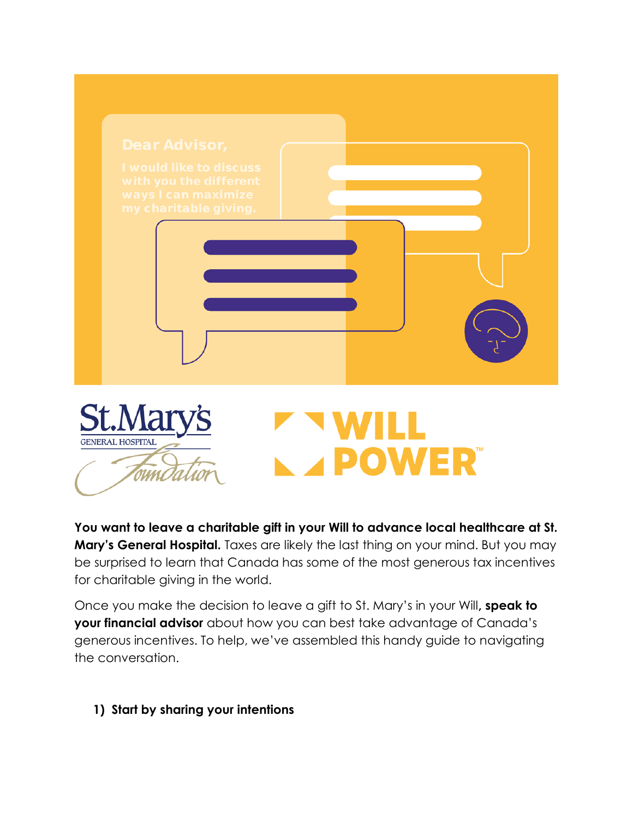

**You want to leave a charitable gift in your Will to advance local healthcare at St. Mary's General Hospital.** Taxes are likely the last thing on your mind. But you may be surprised to learn that Canada has some of the most generous tax incentives for charitable giving in the world.

Once you make the decision to leave a gift to St. Mary's in your Will**, speak to your financial advisor** about how you can best take advantage of Canada's generous incentives. To help, we've assembled this handy guide to navigating the conversation.

**1) Start by sharing your intentions**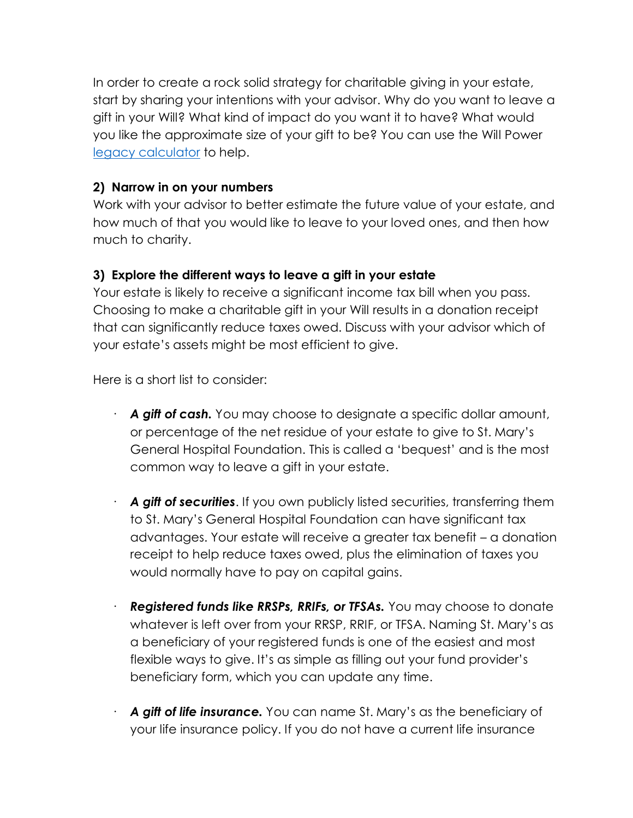In order to create a rock solid strategy for charitable giving in your estate, start by sharing your intentions with your advisor. Why do you want to leave a gift in your Will? What kind of impact do you want it to have? What would you like the approximate size of your gift to be? You can use the Will Power [legacy calculator](https://www.willpower.ca/charities/st-marys-general-hospital-foundation/#single-charity-calculator) to help.

## **2) Narrow in on your numbers**

Work with your advisor to better estimate the future value of your estate, and how much of that you would like to leave to your loved ones, and then how much to charity.

## **3) Explore the different ways to leave a gift in your estate**

Your estate is likely to receive a significant income tax bill when you pass. Choosing to make a charitable gift in your Will results in a donation receipt that can significantly reduce taxes owed. Discuss with your advisor which of your estate's assets might be most efficient to give.

Here is a short list to consider:

- · *A gift of cash.* You may choose to designate a specific dollar amount, or percentage of the net residue of your estate to give to St. Mary's General Hospital Foundation. This is called a 'bequest' and is the most common way to leave a gift in your estate.
- · *A gift of securities*. If you own publicly listed securities, transferring them to St. Mary's General Hospital Foundation can have significant tax advantages. Your estate will receive a greater tax benefit – a donation receipt to help reduce taxes owed, plus the elimination of taxes you would normally have to pay on capital gains.
- · *Registered funds like RRSPs, RRIFs, or TFSAs.* You may choose to donate whatever is left over from your RRSP, RRIF, or TFSA. Naming St. Mary's as a beneficiary of your registered funds is one of the easiest and most flexible ways to give. It's as simple as filling out your fund provider's beneficiary form, which you can update any time.
- · *A gift of life insurance.* You can name St. Mary's as the beneficiary of your life insurance policy. If you do not have a current life insurance